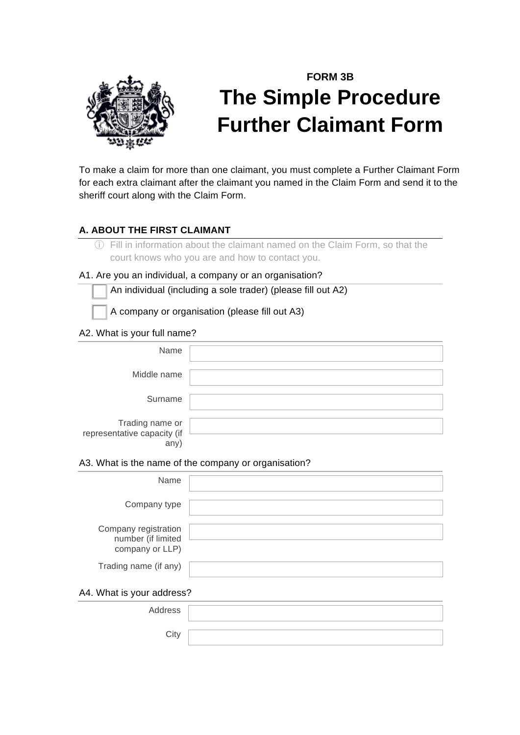

# **FORM 3B The Simple Procedure Further Claimant Form**

To make a claim for more than one claimant, you must complete a Further Claimant Form for each extra claimant after the claimant you named in the Claim Form and send it to the sheriff court along with the Claim Form.

## **A. ABOUT THE FIRST CLAIMANT**

ⓘ Fill in information about the claimant named on the Claim Form, so that the court knows who you are and how to contact you.

## A1. Are you an individual, a company or an organisation?

! An individual (including a sole trader) (please fill out A2)

! A company or organisation (please fill out A3)

## A2. What is your full name?

| Name                                                  |  |
|-------------------------------------------------------|--|
| Middle name                                           |  |
| Surname                                               |  |
| Trading name or<br>representative capacity (if<br>any |  |

#### A3. What is the name of the company or organisation?

| Name                                                          |  |  |
|---------------------------------------------------------------|--|--|
| Company type                                                  |  |  |
| Company registration<br>number (if limited<br>company or LLP) |  |  |
| Trading name (if any)                                         |  |  |
| A4. What is your address?                                     |  |  |
| Address                                                       |  |  |

**City**